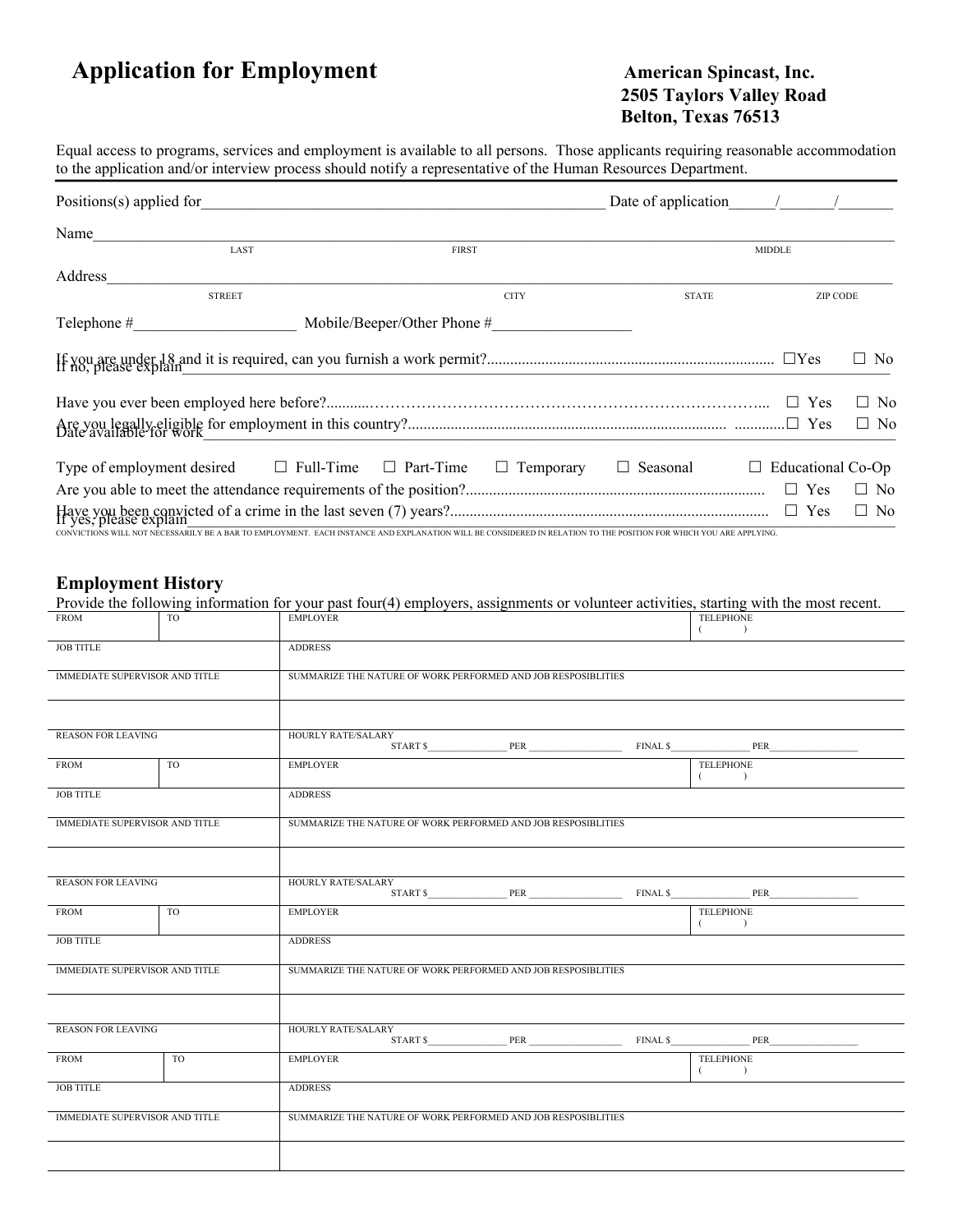# **Application for Employment American Spincast, Inc.**

# **2505 Taylors Valley Road Belton, Texas 76513**

Equal access to programs, services and employment is available to all persons. Those applicants requiring reasonable accommodation to the application and/or interview process should notify a representative of the Human Resources Department.

| $Positions(s)$ applied for                                                                                                                                        | Date of application $\frac{1}{2}$ / |                          |           |
|-------------------------------------------------------------------------------------------------------------------------------------------------------------------|-------------------------------------|--------------------------|-----------|
| Name                                                                                                                                                              |                                     |                          |           |
| LAST<br><b>FIRST</b>                                                                                                                                              |                                     | <b>MIDDLE</b>            |           |
| Address                                                                                                                                                           |                                     |                          |           |
| <b>STREET</b><br><b>CITY</b>                                                                                                                                      | <b>STATE</b>                        | <b>ZIP CODE</b>          |           |
| $\text{Telephone} \#$<br>Mobile/Beeper/Other Phone #                                                                                                              |                                     |                          |           |
|                                                                                                                                                                   |                                     |                          | $\Box$ No |
|                                                                                                                                                                   |                                     |                          | $\Box$ No |
|                                                                                                                                                                   |                                     |                          | $\Box$ No |
| Type of employment desired $\Box$ Full-Time $\Box$ Part-Time<br>$\Box$ Temporary                                                                                  | $\Box$ Seasonal                     | $\Box$ Educational Co-Op |           |
|                                                                                                                                                                   |                                     | $\Box$ Yes               | $\Box$ No |
| CONVICTIONS WILL NOT NECESSARILY BE A BAR TO EMPLOYMENT. EACH INSTANCE AND EXPLANATION WILL BE CONSIDERED IN RELATION TO THE POSITION FOR WHICH YOU ARE APPLYING. |                                     | $\Box$ Yes               | $\Box$ No |

#### **Employment History**

Provide the following information for your past four(4) employers, assignments or volunteer activities, starting with the most recent.

| FROM                                  | TO             | <b>EMPLOYER</b>                                               |  |                                                               |  | TELEPHONE<br>$\lambda$                                                                                                                                                                                                                                                                                                                                                                                                                                                                                                                                                                                  |  |
|---------------------------------------|----------------|---------------------------------------------------------------|--|---------------------------------------------------------------|--|---------------------------------------------------------------------------------------------------------------------------------------------------------------------------------------------------------------------------------------------------------------------------------------------------------------------------------------------------------------------------------------------------------------------------------------------------------------------------------------------------------------------------------------------------------------------------------------------------------|--|
| <b>JOB TITLE</b>                      |                | <b>ADDRESS</b>                                                |  |                                                               |  |                                                                                                                                                                                                                                                                                                                                                                                                                                                                                                                                                                                                         |  |
| <b>IMMEDIATE SUPERVISOR AND TITLE</b> |                | SUMMARIZE THE NATURE OF WORK PERFORMED AND JOB RESPOSIBLITIES |  |                                                               |  |                                                                                                                                                                                                                                                                                                                                                                                                                                                                                                                                                                                                         |  |
|                                       |                |                                                               |  |                                                               |  |                                                                                                                                                                                                                                                                                                                                                                                                                                                                                                                                                                                                         |  |
| <b>REASON FOR LEAVING</b>             |                | HOURLY RATE/SALARY                                            |  |                                                               |  |                                                                                                                                                                                                                                                                                                                                                                                                                                                                                                                                                                                                         |  |
| <b>FROM</b>                           | TO             | <b>EMPLOYER</b>                                               |  |                                                               |  | <b>TELEPHONE</b><br>$($ $)$                                                                                                                                                                                                                                                                                                                                                                                                                                                                                                                                                                             |  |
| <b>JOB TITLE</b>                      |                | <b>ADDRESS</b>                                                |  |                                                               |  |                                                                                                                                                                                                                                                                                                                                                                                                                                                                                                                                                                                                         |  |
| <b>IMMEDIATE SUPERVISOR AND TITLE</b> |                | SUMMARIZE THE NATURE OF WORK PERFORMED AND JOB RESPOSIBLITIES |  |                                                               |  |                                                                                                                                                                                                                                                                                                                                                                                                                                                                                                                                                                                                         |  |
|                                       |                |                                                               |  |                                                               |  |                                                                                                                                                                                                                                                                                                                                                                                                                                                                                                                                                                                                         |  |
| <b>REASON FOR LEAVING</b>             |                | HOURLY RATE/SALARY                                            |  |                                                               |  | $START S \underline{\hspace{1cm}} PER \underline{\hspace{1cm}} PER \underline{\hspace{1cm}} PER \underline{\hspace{1cm}} PER \underline{\hspace{1cm}} PER \underline{\hspace{1cm}} PER \underline{\hspace{1cm}} PER \underline{\hspace{1cm}} PER \underline{\hspace{1cm}} PER \underline{\hspace{1cm}} PER \underline{\hspace{1cm}} PER \underline{\hspace{1cm}} PER \underline{\hspace{1cm}} PER \underline{\hspace{1cm}} PER \underline{\hspace{1cm}} PER \underline{\hspace{1cm}} PER \underline{\hspace{1cm}} PER \underline{\hspace{1cm}} PER \underline{\hspace{1cm}} PER \underline{\hspace{1cm$ |  |
| FROM                                  | T <sub>O</sub> | <b>EMPLOYER</b>                                               |  |                                                               |  | TELEPHONE<br>$($ $)$                                                                                                                                                                                                                                                                                                                                                                                                                                                                                                                                                                                    |  |
| <b>JOB TITLE</b>                      |                | <b>ADDRESS</b>                                                |  |                                                               |  |                                                                                                                                                                                                                                                                                                                                                                                                                                                                                                                                                                                                         |  |
| <b>IMMEDIATE SUPERVISOR AND TITLE</b> |                |                                                               |  | SUMMARIZE THE NATURE OF WORK PERFORMED AND JOB RESPOSIBLITIES |  |                                                                                                                                                                                                                                                                                                                                                                                                                                                                                                                                                                                                         |  |
|                                       |                |                                                               |  |                                                               |  |                                                                                                                                                                                                                                                                                                                                                                                                                                                                                                                                                                                                         |  |
| <b>REASON FOR LEAVING</b>             |                | HOURLY RATE/SALARY                                            |  |                                                               |  | START \$ PER PER FINAL \$ PER                                                                                                                                                                                                                                                                                                                                                                                                                                                                                                                                                                           |  |
| <b>FROM</b>                           | TO.            | <b>EMPLOYER</b>                                               |  |                                                               |  | TELEPHONE<br>$($ $)$                                                                                                                                                                                                                                                                                                                                                                                                                                                                                                                                                                                    |  |
| <b>JOB TITLE</b>                      |                | <b>ADDRESS</b>                                                |  |                                                               |  |                                                                                                                                                                                                                                                                                                                                                                                                                                                                                                                                                                                                         |  |
| <b>IMMEDIATE SUPERVISOR AND TITLE</b> |                |                                                               |  | SUMMARIZE THE NATURE OF WORK PERFORMED AND JOB RESPOSIBLITIES |  |                                                                                                                                                                                                                                                                                                                                                                                                                                                                                                                                                                                                         |  |
|                                       |                |                                                               |  |                                                               |  |                                                                                                                                                                                                                                                                                                                                                                                                                                                                                                                                                                                                         |  |
|                                       |                |                                                               |  |                                                               |  |                                                                                                                                                                                                                                                                                                                                                                                                                                                                                                                                                                                                         |  |